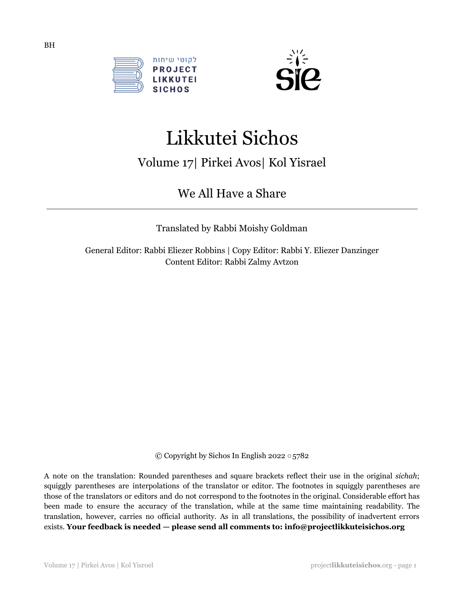



# Likkutei Sichos

## Volume 17| Pirkei Avos| Kol Yisrael

We All Have a Share

Translated by Rabbi Moishy Goldman

General Editor: Rabbi Eliezer Robbins | Copy Editor: Rabbi Y. Eliezer Danzinger Content Editor: Rabbi Zalmy Avtzon

© Copyright by Sichos In English 2022 ○5782

A note on the translation: Rounded parentheses and square brackets reflect their use in the original *sichah*; squiggly parentheses are interpolations of the translator or editor. The footnotes in squiggly parentheses are those of the translators or editors and do not correspond to the footnotes in the original. Considerable effort has been made to ensure the accuracy of the translation, while at the same time maintaining readability. The translation, however, carries no official authority. As in all translations, the possibility of inadvertent errors exists. **Your feedback is needed — please send all comments to: info@projectlikkuteisichos.org**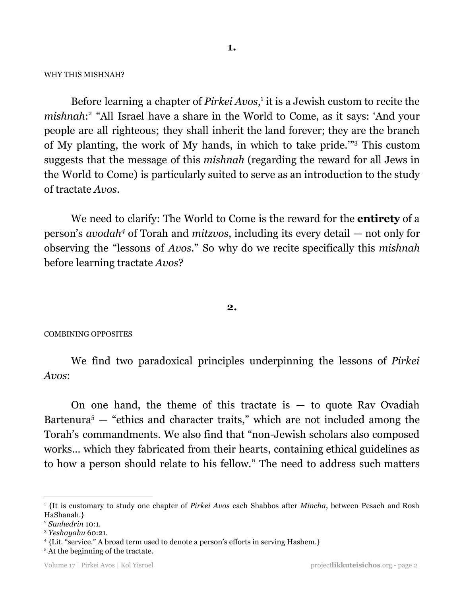WHY THIS MISHNAH?

Before learning a chapter of *Pirkei Avos*,<sup>1</sup> it is a Jewish custom to recite the mishnah:<sup>2</sup> "All Israel have a share in the World to Come, as it says: 'And your people are all righteous; they shall inherit the land forever; they are the branch of My planting, the work of My hands, in which to take pride.'" <sup>3</sup> This custom suggests that the message of this *mishnah* (regarding the reward for all Jews in the World to Come) is particularly suited to serve as an introduction to the study of tractate *Avos*.

We need to clarify: The World to Come is the reward for the **entirety** of a person's *avodah<sup>4</sup>* of Torah and *mitzvos*, including its every detail — not only for observing the "lessons of *Avos*." So why do we recite specifically this *mishnah* before learning tractate *Avos*?

#### **2.**

#### COMBINING OPPOSITES

We find two paradoxical principles underpinning the lessons of *Pirkei Avos*:

On one hand, the theme of this tractate is  $-$  to quote Rav Ovadiah Bartenura<sup>5</sup>  $-$  "ethics and character traits," which are not included among the Torah's commandments. We also find that "non-Jewish scholars also composed works… which they fabricated from their hearts, containing ethical guidelines as to how a person should relate to his fellow." The need to address such matters

<sup>1</sup> {It is customary to study one chapter of *Pirkei Avos* each Shabbos after *Mincha*, between Pesach and Rosh HaShanah.}

<sup>2</sup> *Sanhedrin* 10:1.

<sup>3</sup> *Yeshayahu* 60:21.

<sup>4</sup> {Lit. "service." A broad term used to denote a person's efforts in serving Hashem.}

<sup>&</sup>lt;sup>5</sup> At the beginning of the tractate.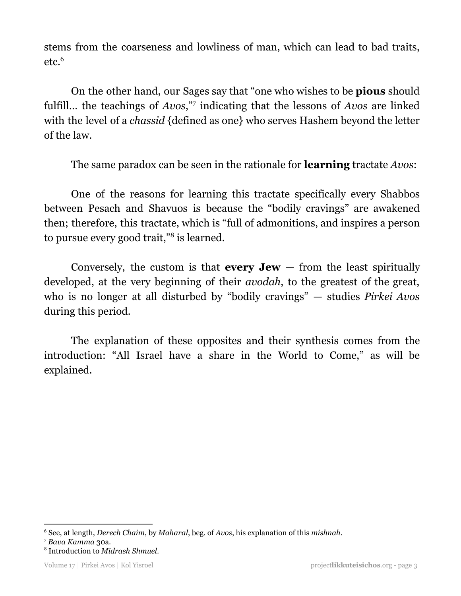stems from the coarseness and lowliness of man, which can lead to bad traits, etc. 6

On the other hand, our Sages say that "one who wishes to be **pious** should fulfill... the teachings of *Avos*," indicating that the lessons of *Avos* are linked with the level of a *chassid* {defined as one} who serves Hashem beyond the letter of the law.

The same paradox can be seen in the rationale for **learning** tractate *Avos*:

One of the reasons for learning this tractate specifically every Shabbos between Pesach and Shavuos is because the "bodily cravings" are awakened then; therefore, this tractate, which is "full of admonitions, and inspires a person to pursue every good trait,"<sup>8</sup> is learned.

Conversely, the custom is that **every Jew** — from the least spiritually developed, at the very beginning of their *avodah*, to the greatest of the great, who is no longer at all disturbed by "bodily cravings" — studies *Pirkei Avos* during this period.

The explanation of these opposites and their synthesis comes from the introduction: "All Israel have a share in the World to Come," as will be explained.

<sup>6</sup> See, at length, *Derech Chaim*, by *Maharal*, beg. of *Avos*, his explanation of this *mishnah*.

<sup>7</sup> *Bava Kamma* 30a.

<sup>8</sup> Introduction to *Midrash Shmuel*.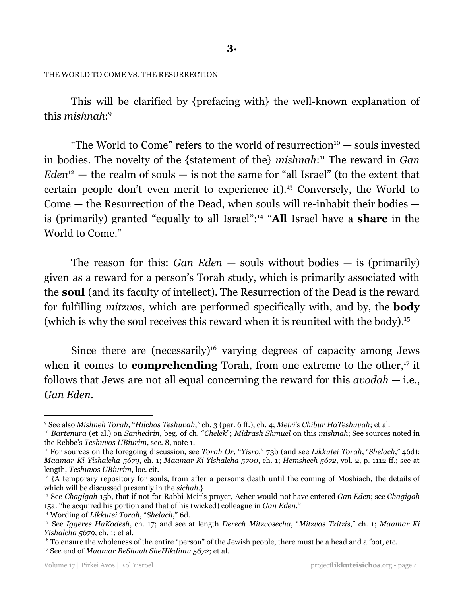THE WORLD TO COME VS. THE RESURRECTION

This will be clarified by {prefacing with} the well-known explanation of this *mishnah*: 9

"The World to Come" refers to the world of resurrection $10 -$  souls invested in bodies. The novelty of the {statement of the} *mishnah*:<sup>11</sup> The reward in *Gan*  $Eden<sup>12</sup>$  — the realm of souls — is not the same for "all Israel" (to the extent that certain people don't even merit to experience it).<sup>13</sup> Conversely, the World to Come — the Resurrection of the Dead, when souls will re-inhabit their bodies is (primarily) granted "equally to all Israel":<sup>14</sup> "All Israel have a **share** in the World to Come."

The reason for this: *Gan Eden* — souls without bodies — is (primarily) given as a reward for a person's Torah study, which is primarily associated with the **soul** (and its faculty of intellect). The Resurrection of the Dead is the reward for fulfilling *mitzvos*, which are performed specifically with, and by, the **body** (which is why the soul receives this reward when it is reunited with the body). 15

Since there are (necessarily)<sup>16</sup> varying degrees of capacity among Jews when it comes to **comprehending** Torah, from one extreme to the other,<sup>17</sup> it follows that Jews are not all equal concerning the reward for this *avodah* — i.e., *Gan Eden*.

<sup>9</sup> See also *Mishneh Torah*, "*Hilchos Teshuvah*,*"* ch. 3 (par. 6 ff.), ch. 4; *Meiri's Chibur HaTeshuvah*; et al.

<sup>10</sup> *Bartenura* (et al.) on *Sanhedrin*, beg. of ch. "*Chelek*"; *Midrash Shmuel* on this *mishnah*; See sources noted in the Rebbe's *Teshuvos UBiurim*, sec. 8, note 1.

<sup>11</sup> For sources on the foregoing discussion, see *Torah Or*, "*Yisro*," 73b (and see *Likkutei Torah*, "*Shelach*," 46d); *Maamar Ki Yishalcha 5679*, ch. 1; *Maamar Ki Yishalcha 5700*, ch. 1; *Hemshech 5672*, vol. 2, p. 1112 ff.; see at length, *Teshuvos UBiurim*, loc. cit.

 $12 \nmid A$  temporary repository for souls, from after a person's death until the coming of Moshiach, the details of which will be discussed presently in the *sichah*.}

<sup>13</sup> See *Chagigah* 15b, that if not for Rabbi Meir's prayer, Acher would not have entered *Gan Eden*; see *Chagigah* 15a: "he acquired his portion and that of his (wicked) colleague in *Gan Eden*."

<sup>14</sup> Wording of *Likkutei Torah*, "*Shelach*," 6d.

<sup>15</sup> See *Iggeres HaKodesh*, ch. 17; and see at length *Derech Mitzvosecha*, "*Mitzvas Tzitzis*," ch. 1; *Maamar Ki Yishalcha 5679*, ch. 1; et al.

<sup>17</sup> See end of *Maamar BeShaah SheHikdimu 5672*; et al. <sup>16</sup> To ensure the wholeness of the entire "person" of the Jewish people, there must be a head and a foot, etc.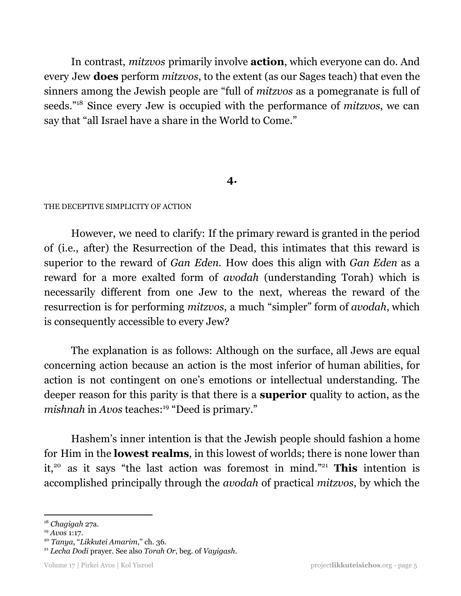In contrast, *mitzvos* primarily involve **action**, which everyone can do. And every Jew **does** perform *mitzvos*, to the extent (as our Sages teach) that even the sinners among the Jewish people are "full of *mitzvos* as a pomegranate is full of seeds."<sup>18</sup> Since every Jew is occupied with the performance of *mitzvos*, we can say that "all Israel have a share in the World to Come."

## **4.**

#### THE DECEPTIVE SIMPLICITY OF ACTION

However, we need to clarify: If the primary reward is granted in the period of (i.e., after) the Resurrection of the Dead, this intimates that this reward is superior to the reward of *Gan Eden.* How does this align with *Gan Eden* as a reward for a more exalted form of *avodah* (understanding Torah) which is necessarily different from one Jew to the next, whereas the reward of the resurrection is for performing *mitzvos*, a much "simpler" form of *avodah*, which is consequently accessible to every Jew?

The explanation is as follows: Although on the surface, all Jews are equal concerning action because an action is the most inferior of human abilities, for action is not contingent on one's emotions or intellectual understanding. The deeper reason for this parity is that there is a **superior** quality to action, as the mishnah in *Avos* teaches:<sup>19</sup> "Deed is primary."

Hashem's inner intention is that the Jewish people should fashion a home for Him in the **lowest realms**, in this lowest of worlds; there is none lower than it,<sup>20</sup> as it says "the last action was foremost in mind."<sup>21</sup> This intention is accomplished principally through the *avodah* of practical *mitzvos*, by which the

<sup>18</sup> *Chagigah* 27a.

<sup>19</sup> *Avos* 1:17.

<sup>20</sup> *Tanya*, "*Likkutei Amarim*," ch. 36.

<sup>21</sup> *Lecha Dodi* prayer. See also *Torah Or*, beg. of *Vayigash.*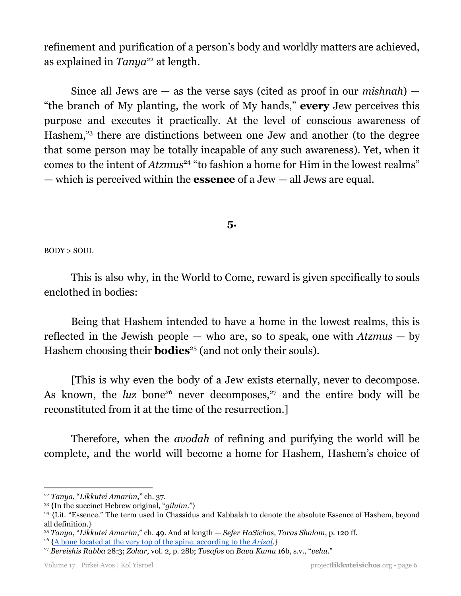refinement and purification of a person's body and worldly matters are achieved, as explained in *Tanya*<sup>22</sup> at length.

Since all Jews are — as the verse says (cited as proof in our *mishnah*) — "the branch of My planting, the work of My hands," **every** Jew perceives this purpose and executes it practically. At the level of conscious awareness of Hashem,<sup>23</sup> there are distinctions between one Jew and another (to the degree that some person may be totally incapable of any such awareness). Yet, when it comes to the intent of *Atzmus*<sup>24</sup> "to fashion a home for Him in the lowest realms" — which is perceived within the **essence** of a Jew — all Jews are equal.

## **5.**

BODY > SOUL

This is also why, in the World to Come, reward is given specifically to souls enclothed in bodies:

Being that Hashem intended to have a home in the lowest realms, this is reflected in the Jewish people — who are, so to speak, one with *Atzmus* — by Hashem choosing their **bodies**<sup>25</sup> (and not only their souls).

[This is why even the body of a Jew exists eternally, never to decompose. As known, the *luz* bone<sup>26</sup> never decomposes,<sup>27</sup> and the entire body will be reconstituted from it at the time of the resurrection.]

Therefore, when the *avodah* of refining and purifying the world will be complete, and the world will become a home for Hashem, Hashem's choice of

<sup>22</sup> *Tanya*, "*Likkutei Amarim*," ch. 37.

<sup>23</sup> {In the succinct Hebrew original, "*giluim*."}

<sup>&</sup>lt;sup>24</sup> {Lit. "Essence." The term used in Chassidus and Kabbalah to denote the absolute Essence of Hashem, beyond all definition.}

<sup>25</sup> *Tanya*, "*Likkutei Amarim*," ch. 49. And at length — *Sefer HaSichos, Toras Shalom*, p. 120 ff.

<sup>26</sup> {A bone located at the very top of the spine, [according](https://www.chabad.org/kabbalah/article_cdo/aid/380694/jewish/Get-Up-Luz-Bones.htm) to the *Arizal*.}

<sup>27</sup> *Bereishis Rabba* 28:3; *Zohar*, vol. 2, p. 28b; *Tosafos* on *Bava Kama* 16b, s.v., "*vehu*."